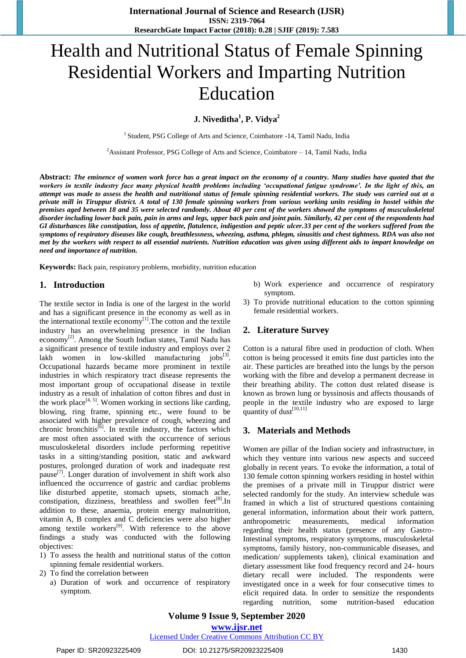# Health and Nutritional Status of Female Spinning Residential Workers and Imparting Nutrition Education

**J. Niveditha<sup>1</sup> , P. Vidya<sup>2</sup>**

<sup>1</sup> Student, PSG College of Arts and Science, Coimbatore -14, Tamil Nadu, India

<sup>2</sup>Assistant Professor, PSG College of Arts and Science, Coimbatore  $-14$ , Tamil Nadu, India

**Abstract:** *The eminence of women work force has a great impact on the economy of a country. Many studies have quoted that the workers in textile industry face many physical health problems including 'occupational fatigue syndrome'. In the light of this, an attempt was made to assess the health and nutritional status of female spinning residential workers. The study was carried out at a private mill in Tiruppur district. A total of 130 female spinning workers from various working units residing in hostel within the premises aged between 18 and 35 were selected randomly. About 40 per cent of the workers showed the symptoms of musculoskeletal disorder including lower back pain, pain in arms and legs, upper back pain and joint pain. Similarly, 42 per cent of the respondents had GI disturbances like constipation, loss of appetite, flatulence, indigestion and peptic ulcer.33 per cent of the workers suffered from the symptoms of respiratory diseases like cough, breathlessness, wheezing, asthma, phlegm, sinusitis and chest tightness. RDA was also not met by the workers with respect to all essential nutrients. Nutrition education was given using different aids to impart knowledge on need and importance of nutrition.*

**Keywords:** Back pain, respiratory problems, morbidity, nutrition education

# **1. Introduction**

The textile sector in India is one of the largest in the world and has a significant presence in the economy as well as in the international textile economy $^{[1]}$ . The cotton and the textile industry has an overwhelming presence in the Indian economy<sup>[2]</sup>. Among the South Indian states, Tamil Nadu has a significant presence of textile industry and employs over 2 lakh women in low-skilled manufacturing  $j$ obs<sup>[3]</sup>. Occupational hazards became more prominent in textile industries in which respiratory tract disease represents the most important group of occupational disease in textile industry as a result of inhalation of cotton fibres and dust in the work place<sup>[4, 5]</sup>. Women working in sections like carding, blowing, ring frame, spinning etc., were found to be associated with higher prevalence of cough, wheezing and chronic bronchitis<sup>[6]</sup>. In textile industry, the factors which are most often associated with the occurrence of serious musculoskeletal disorders include performing repetitive tasks in a sitting/standing position, static and awkward postures, prolonged duration of work and inadequate rest pause<sup>[7]</sup>. Longer duration of involvement in shift work also influenced the occurrence of gastric and cardiac problems like disturbed appetite, stomach upsets, stomach ache, constipation, dizziness, breathless and swollen feet<sup>[8]</sup>. In addition to these, anaemia, protein energy malnutrition, vitamin A, B complex and C deficiencies were also higher among textile workers<sup>[9]</sup>. With reference to the above findings a study was conducted with the following objectives:

- 1) To assess the health and nutritional status of the cotton spinning female residential workers.
- 2) To find the correlation between
	- a) Duration of work and occurrence of respiratory symptom.
- b) Work experience and occurrence of respiratory symptom.
- 3) To provide nutritional education to the cotton spinning female residential workers.

# **2. Literature Survey**

Cotton is a natural fibre used in production of cloth. When cotton is being processed it emits fine dust particles into the air. These particles are breathed into the lungs by the person working with the fibre and develop a permanent decrease in their breathing ability. The cotton dust related disease is known as brown lung or byssinosis and affects thousands of people in the textile industry who are exposed to large quantity of dust<sup>[10,11]</sup>

# **3. Materials and Methods**

Women are pillar of the Indian society and infrastructure, in which they venture into various new aspects and succeed globally in recent years. To evoke the information, a total of 130 female cotton spinning workers residing in hostel within the premises of a private mill in Tiruppur district were selected randomly for the study. An interview schedule was framed in which a list of structured questions containing general information, information about their work pattern, anthropometric measurements, medical information regarding their health status (presence of any Gastro-Intestinal symptoms, respiratory symptoms, musculoskeletal symptoms, family history, non-communicable diseases, and medication/ supplements taken), clinical examination and dietary assessment like food frequency record and 24- hours dietary recall were included. The respondents were investigated once in a week for four consecutive times to elicit required data. In order to sensitize the respondents regarding nutrition, some nutrition-based education

**Volume 9 Issue 9, September 2020 www.ijsr.net**

#### Licensed Under Creative Commons Attribution CC BY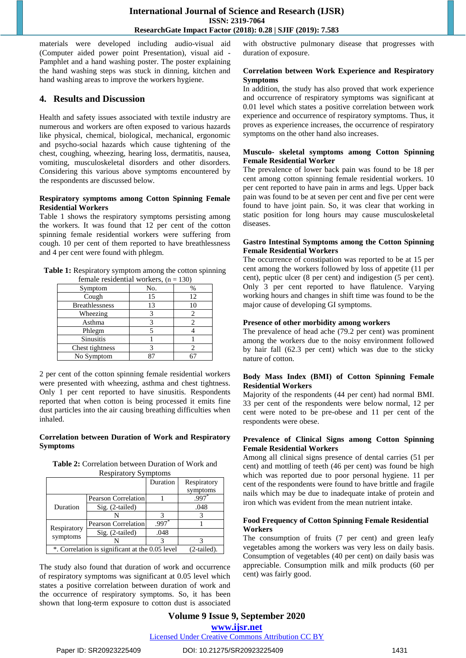# **International Journal of Science and Research (IJSR) ISSN: 2319-7064 ResearchGate Impact Factor (2018): 0.28 | SJIF (2019): 7.583**

materials were developed including audio-visual aid (Computer aided power point Presentation), visual aid - Pamphlet and a hand washing poster. The poster explaining the hand washing steps was stuck in dinning, kitchen and hand washing areas to improve the workers hygiene.

# **4. Results and Discussion**

Health and safety issues associated with textile industry are numerous and workers are often exposed to various hazards like physical, chemical, biological, mechanical, ergonomic and psycho-social hazards which cause tightening of the chest, coughing, wheezing, hearing loss, dermatitis, nausea, vomiting, musculoskeletal disorders and other disorders. Considering this various above symptoms encountered by the respondents are discussed below.

#### **Respiratory symptoms among Cotton Spinning Female Residential Workers**

Table 1 shows the respiratory symptoms persisting among the workers. It was found that 12 per cent of the cotton spinning female residential workers were suffering from cough. 10 per cent of them reported to have breathlessness and 4 per cent were found with phlegm.

**Table 1:** Respiratory symptom among the cotton spinning

| female residential workers, $(n = 130)$ |     |      |  |  |  |
|-----------------------------------------|-----|------|--|--|--|
| Symptom                                 | No. | $\%$ |  |  |  |
| Cough                                   | 15  | 12   |  |  |  |
| <b>Breathlessness</b>                   | 13  | 10   |  |  |  |
| Wheezing                                |     | 2.   |  |  |  |
| Asthma                                  |     |      |  |  |  |
| Phlegm                                  |     |      |  |  |  |
| <b>Sinusitis</b>                        |     |      |  |  |  |
| Chest tightness                         |     |      |  |  |  |
| No Symptom                              |     |      |  |  |  |

2 per cent of the cotton spinning female residential workers were presented with wheezing, asthma and chest tightness. Only 1 per cent reported to have sinusitis. Respondents reported that when cotton is being processed it emits fine dust particles into the air causing breathing difficulties when inhaled.

# **Correlation between Duration of Work and Respiratory Symptoms**

**Table 2:** Correlation between Duration of Work and Respiratory Symptoms

|                                                 |                            | Duration | Respiratory |
|-------------------------------------------------|----------------------------|----------|-------------|
|                                                 |                            |          | symptoms    |
| Duration                                        | Pearson Correlation        |          | .997        |
|                                                 | Sig. (2-tailed)            |          | .048        |
|                                                 |                            |          |             |
| Respiratory<br>symptoms                         | <b>Pearson Correlation</b> | .997     |             |
|                                                 | $Sig. (2-tailed)$          | .048     |             |
|                                                 |                            |          |             |
| *. Correlation is significant at the 0.05 level | $(2-tailed).$              |          |             |

The study also found that duration of work and occurrence of respiratory symptoms was significant at 0.05 level which states a positive correlation between duration of work and the occurrence of respiratory symptoms. So, it has been shown that long-term exposure to cotton dust is associated with obstructive pulmonary disease that progresses with duration of exposure.

#### **Correlation between Work Experience and Respiratory Symptoms**

In addition, the study has also proved that work experience and occurrence of respiratory symptoms was significant at 0.01 level which states a positive correlation between work experience and occurrence of respiratory symptoms. Thus, it proves as experience increases, the occurrence of respiratory symptoms on the other hand also increases.

#### **Musculo- skeletal symptoms among Cotton Spinning Female Residential Worker**

The prevalence of lower back pain was found to be 18 per cent among cotton spinning female residential workers. 10 per cent reported to have pain in arms and legs. Upper back pain was found to be at seven per cent and five per cent were found to have joint pain. So, it was clear that working in static position for long hours may cause musculoskeletal diseases.

#### **Gastro Intestinal Symptoms among the Cotton Spinning Female Residential Workers**

The occurrence of constipation was reported to be at 15 per cent among the workers followed by loss of appetite (11 per cent), peptic ulcer (8 per cent) and indigestion (5 per cent). Only 3 per cent reported to have flatulence. Varying working hours and changes in shift time was found to be the major cause of developing GI symptoms.

# **Presence of other morbidity among workers**

The prevalence of head ache (79.2 per cent) was prominent among the workers due to the noisy environment followed by hair fall (62.3 per cent) which was due to the sticky nature of cotton.

# **Body Mass Index (BMI) of Cotton Spinning Female Residential Workers**

Majority of the respondents (44 per cent) had normal BMI. 33 per cent of the respondents were below normal, 12 per cent were noted to be pre-obese and 11 per cent of the respondents were obese.

# **Prevalence of Clinical Signs among Cotton Spinning Female Residential Workers**

Among all clinical signs presence of dental carries (51 per cent) and mottling of teeth (46 per cent) was found be high which was reported due to poor personal hygiene. 11 per cent of the respondents were found to have brittle and fragile nails which may be due to inadequate intake of protein and iron which was evident from the mean nutrient intake.

#### **Food Frequency of Cotton Spinning Female Residential Workers**

The consumption of fruits (7 per cent) and green leafy vegetables among the workers was very less on daily basis. Consumption of vegetables (40 per cent) on daily basis was appreciable. Consumption milk and milk products (60 per cent) was fairly good.

**Volume 9 Issue 9, September 2020 www.ijsr.net** Licensed Under Creative Commons Attribution CC BY